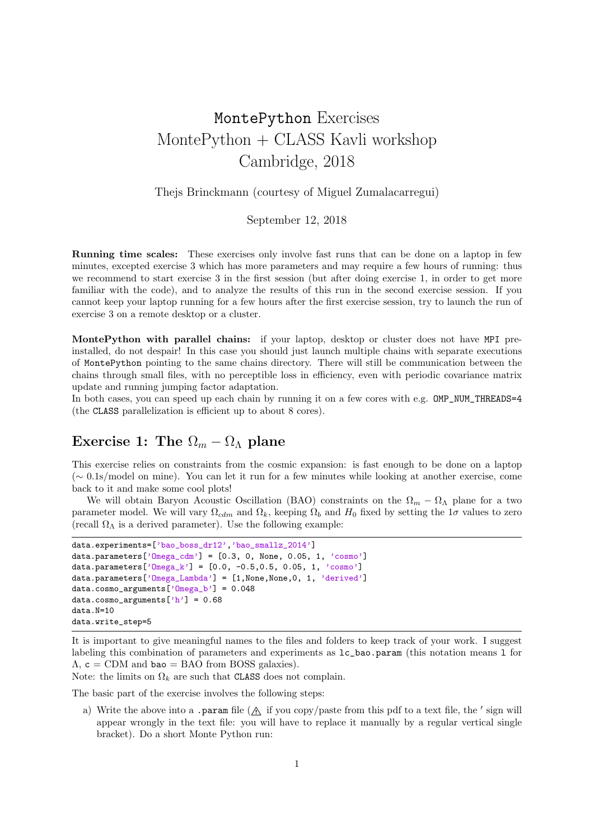# MontePython Exercises MontePython + CLASS Kavli workshop Cambridge, 2018

### Thejs Brinckmann (courtesy of Miguel Zumalacarregui)

### September 12, 2018

Running time scales: These exercises only involve fast runs that can be done on a laptop in few minutes, excepted exercise 3 which has more parameters and may require a few hours of running: thus we recommend to start exercise 3 in the first session (but after doing exercise 1, in order to get more familiar with the code), and to analyze the results of this run in the second exercise session. If you cannot keep your laptop running for a few hours after the first exercise session, try to launch the run of exercise 3 on a remote desktop or a cluster.

MontePython with parallel chains: if your laptop, desktop or cluster does not have MPI preinstalled, do not despair! In this case you should just launch multiple chains with separate executions of MontePython pointing to the same chains directory. There will still be communication between the chains through small files, with no perceptible loss in efficiency, even with periodic covariance matrix update and running jumping factor adaptation.

In both cases, you can speed up each chain by running it on a few cores with e.g. OMP\_NUM\_THREADS=4 (the CLASS parallelization is efficient up to about 8 cores).

# Exercise 1: The  $\Omega_m - \Omega_{\Lambda}$  plane

This exercise relies on constraints from the cosmic expansion: is fast enough to be done on a laptop  $({\sim 0.1}$ s/model on mine). You can let it run for a few minutes while looking at another exercise, come back to it and make some cool plots!

We will obtain Baryon Acoustic Oscillation (BAO) constraints on the  $\Omega_m - \Omega_\Lambda$  plane for a two parameter model. We will vary  $\Omega_{cdm}$  and  $\Omega_k$ , keeping  $\Omega_b$  and  $H_0$  fixed by setting the  $1\sigma$  values to zero (recall  $\Omega_{\Lambda}$  is a derived parameter). Use the following example:

```
data.experiments=['bao_boss_dr12','bao_smallz_2014']
data.parameters['Omega_cdm'] = [0.3, 0, None, 0.05, 1, 'cosmo']data.parameters['0mega_k'] = [0.0, -0.5, 0.5, 0.05, 1, 'cosmo']data.parameters['Omega_Lambda'] = [1, None, None, 0, 1, 'derived']
data.cosmo_arguments['Omega_b'] = 0.048
data.cosmo_arguments['h'] = 0.68data.N=10
data.write_step=5
```
It is important to give meaningful names to the files and folders to keep track of your work. I suggest labeling this combination of parameters and experiments as lc\_bao.param (this notation means l for  $\Lambda$ ,  $c = \text{CDM}$  and bao = BAO from BOSS galaxies).

Note: the limits on  $\Omega_k$  are such that  $\texttt{CLASS}\xspace$  does not complain.

The basic part of the exercise involves the following steps:

a) Write the above into a .param file  $(\Lambda$  if you copy/paste from this pdf to a text file, the ' sign will appear wrongly in the text file: you will have to replace it manually by a regular vertical single bracket). Do a short Monte Python run: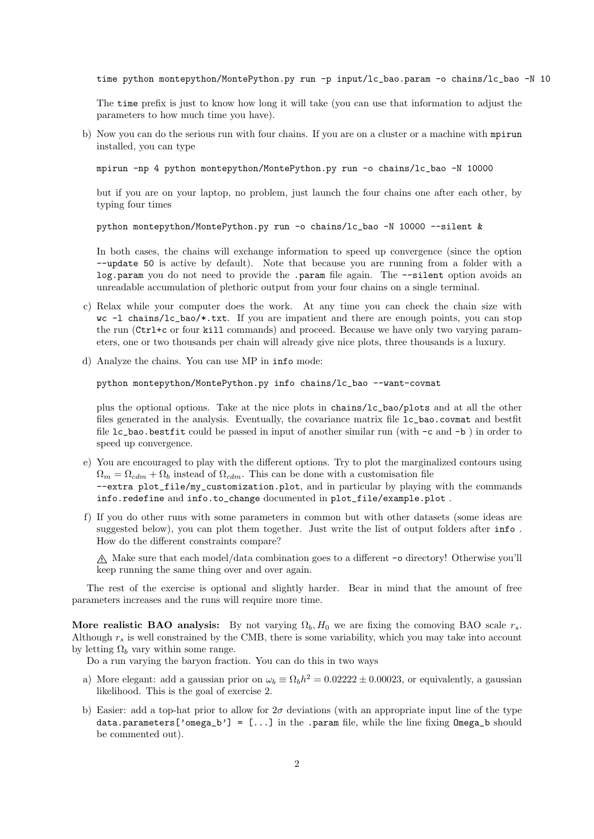time python montepython/MontePython.py run -p input/lc\_bao.param -o chains/lc\_bao -N 10

The time prefix is just to know how long it will take (you can use that information to adjust the parameters to how much time you have).

b) Now you can do the serious run with four chains. If you are on a cluster or a machine with mpirun installed, you can type

mpirun -np 4 python montepython/MontePython.py run -o chains/lc\_bao -N 10000

but if you are on your laptop, no problem, just launch the four chains one after each other, by typing four times

python montepython/MontePython.py run -o chains/lc\_bao -N 10000 --silent &

In both cases, the chains will exchange information to speed up convergence (since the option --update 50 is active by default). Note that because you are running from a folder with a log.param you do not need to provide the .param file again. The --silent option avoids an unreadable accumulation of plethoric output from your four chains on a single terminal.

- c) Relax while your computer does the work. At any time you can check the chain size with wc -l chains/lc\_bao/\*.txt. If you are impatient and there are enough points, you can stop the run (Ctrl+c or four kill commands) and proceed. Because we have only two varying parameters, one or two thousands per chain will already give nice plots, three thousands is a luxury.
- d) Analyze the chains. You can use MP in info mode:

python montepython/MontePython.py info chains/lc\_bao --want-covmat

plus the optional options. Take at the nice plots in chains/lc\_bao/plots and at all the other files generated in the analysis. Eventually, the covariance matrix file lc\_bao.covmat and bestfit file lc\_bao.bestfit could be passed in input of another similar run (with -c and -b ) in order to speed up convergence.

- e) You are encouraged to play with the different options. Try to plot the marginalized contours using  $\Omega_m = \Omega_{cdm} + \Omega_b$  instead of  $\Omega_{cdm}$ . This can be done with a customisation file --extra plot\_file/my\_customization.plot, and in particular by playing with the commands info.redefine and info.to\_change documented in plot\_file/example.plot .
- f) If you do other runs with some parameters in common but with other datasets (some ideas are suggested below), you can plot them together. Just write the list of output folders after info . How do the different constraints compare?

 $\Lambda$  Make sure that each model/data combination goes to a different -o directory! Otherwise you'll keep running the same thing over and over again.

The rest of the exercise is optional and slightly harder. Bear in mind that the amount of free parameters increases and the runs will require more time.

More realistic BAO analysis: By not varying  $\Omega_b$ ,  $H_0$  we are fixing the comoving BAO scale  $r_s$ . Although *r<sup>s</sup>* is well constrained by the CMB, there is some variability, which you may take into account by letting  $\Omega_b$  vary within some range.

Do a run varying the baryon fraction. You can do this in two ways

- a) More elegant: add a gaussian prior on  $\omega_b \equiv \Omega_b h^2 = 0.02222 \pm 0.00023$ , or equivalently, a gaussian likelihood. This is the goal of exercise 2.
- b) Easier: add a top-hat prior to allow for  $2\sigma$  deviations (with an appropriate input line of the type data.parameters['omega\_b'] = [...] in the .param file, while the line fixing Omega\_b should be commented out).